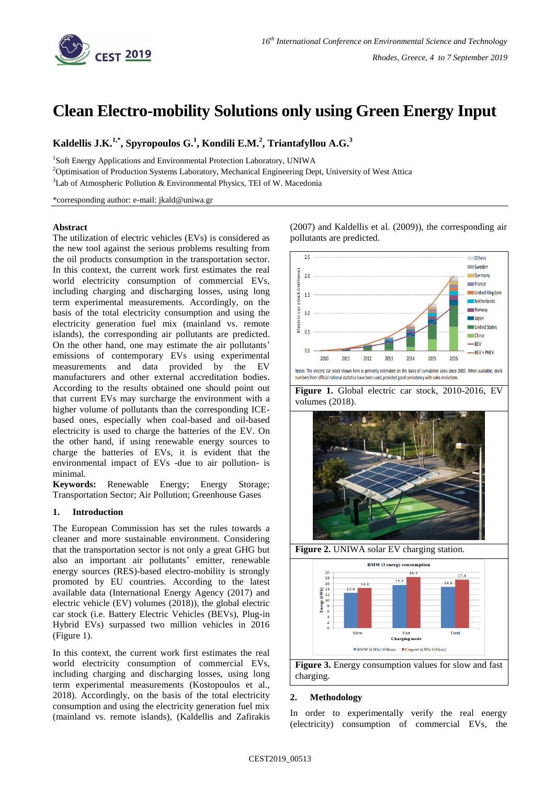

# **Clean Electro-mobility Solutions only using Green Energy Input**

**Kaldellis J.K.1,\*, Spyropoulos G.<sup>1</sup> , Kondili E.M.<sup>2</sup> , Triantafyllou A.G.<sup>3</sup>**

<sup>1</sup>Soft Energy Applications and Environmental Protection Laboratory, UNIWA

<sup>2</sup>Optimisation of Production Systems Laboratory, Mechanical Engineering Dept, University of West Attica

 $3$ Lab of Atmospheric Pollution & Environmental Physics, TEI of W. Macedonia

\*corresponding author: e-mail: jkald@uniwa.gr

### **Abstract**

The utilization of electric vehicles (EVs) is considered as the new tool against the serious problems resulting from the oil products consumption in the transportation sector. In this context, the current work first estimates the real world electricity consumption of commercial EVs, including charging and discharging losses, using long term experimental measurements. Accordingly, on the basis of the total electricity consumption and using the electricity generation fuel mix (mainland vs. remote islands), the corresponding air pollutants are predicted. On the other hand, one may estimate the air pollutants' emissions of contemporary EVs using experimental measurements and data provided by the EV manufacturers and other external accreditation bodies. According to the results obtained one should point out that current EVs may surcharge the environment with a higher volume of pollutants than the corresponding ICEbased ones, especially when coal-based and oil-based electricity is used to charge the batteries of the EV. On the other hand, if using renewable energy sources to charge the batteries of EVs, it is evident that the environmental impact of EVs -due to air pollution- is minimal.

**Keywords:** Renewable Energy; Energy Storage; Transportation Sector; Air Pollution; Greenhouse Gases

## **1. Introduction**

The European Commission has set the rules towards a cleaner and more sustainable environment. Considering that the transportation sector is not only a great GHG but also an important air pollutants' emitter, renewable energy sources (RES)-based electro-mobility is strongly promoted by EU countries. According to the latest available data (International Energy Agency (2017) and electric vehicle (EV) volumes (2018)), the global electric car stock (i.e. Battery Electric Vehicles (BEVs), Plug-in Hybrid EVs) surpassed two million vehicles in 2016 (Figure 1).

In this context, the current work first estimates the real world electricity consumption of commercial EVs, including charging and discharging losses, using long term experimental measurements (Kostopoulos et al., 2018). Accordingly, on the basis of the total electricity consumption and using the electricity generation fuel mix (mainland vs. remote islands), (Kaldellis and Zafirakis

(2007) and Kaldellis et al. (2009)), the corresponding air pollutants are predicted.



### **2. Methodology**

In order to experimentally verify the real energy (electricity) consumption of commercial EVs, the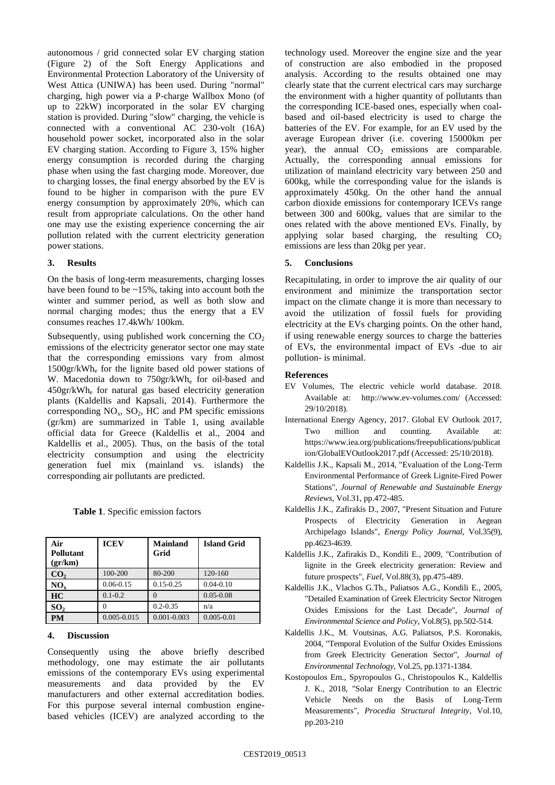autonomous / grid connected solar EV charging station (Figure 2) of the Soft Energy Applications and Environmental Protection Laboratory of the University of West Attica (UNIWA) has been used. During "normal" charging, high power via a P-charge Wallbox Mono (of up to 22kW) incorporated in the solar EV charging station is provided. During "slow" charging, the vehicle is connected with a conventional AC 230-volt (16A) household power socket, incorporated also in the solar EV charging station. According to Figure 3, 15% higher energy consumption is recorded during the charging phase when using the fast charging mode. Moreover, due to charging losses, the final energy absorbed by the EV is found to be higher in comparison with the pure EV energy consumption by approximately 20%, which can result from appropriate calculations. On the other hand one may use the existing experience concerning the air pollution related with the current electricity generation power stations.

### **3. Results**

On the basis of long-term measurements, charging losses have been found to be  $\sim$ 15%, taking into account both the winter and summer period, as well as both slow and normal charging modes; thus the energy that a EV consumes reaches 17.4kWh/ 100km.

Subsequently, using published work concerning the  $CO<sub>2</sub>$ emissions of the electricity generator sector one may state that the corresponding emissions vary from almost  $1500$ gr/kWh<sub>e</sub> for the lignite based old power stations of W. Macedonia down to 750gr/kWh, for oil-based and 450gr/kWh<sup>e</sup> for natural gas based electricity generation plants (Kaldellis and Kapsali, 2014). Furthermore the corresponding  $NO_x$ ,  $SO_2$ ,  $HC$  and PM specific emissions (gr/km) are summarized in Table 1, using available official data for Greece (Kaldellis et al., 2004 and Kaldellis et al., 2005). Thus, on the basis of the total electricity consumption and using the electricity generation fuel mix (mainland vs. islands) the corresponding air pollutants are predicted.

|  | <b>Table 1.</b> Specific emission factors |  |  |
|--|-------------------------------------------|--|--|
|--|-------------------------------------------|--|--|

| Air<br>Pollutant<br>gr/km) | <b>ICEV</b>     | Mainland<br>Grid | <b>Island Grid</b> |
|----------------------------|-----------------|------------------|--------------------|
| CO <sub>2</sub>            | 100-200         | 80-200           | 120-160            |
| $NO_{x}$                   | $0.06 - 0.15$   | $0.15 - 0.25$    | $0.04 - 0.10$      |
| HC                         | $0.1 - 0.2$     |                  | $0.05 - 0.08$      |
| SO <sub>2</sub>            |                 | $0.2 - 0.35$     | n/a                |
| PM                         | $0.005 - 0.015$ | $0.001 - 0.003$  | $0.005 - 0.01$     |

#### **4. Discussion**

Consequently using the above briefly described methodology, one may estimate the air pollutants emissions of the contemporary EVs using experimental measurements and data provided by the EV manufacturers and other external accreditation bodies. For this purpose several internal combustion enginebased vehicles (ICEV) are analyzed according to the technology used. Moreover the engine size and the year of construction are also embodied in the proposed analysis. According to the results obtained one may clearly state that the current electrical cars may surcharge the environment with a higher quantity of pollutants than the corresponding ICE-based ones, especially when coalbased and oil-based electricity is used to charge the batteries of the EV. For example, for an EV used by the average European driver (i.e. covering 15000km per year), the annual  $CO<sub>2</sub>$  emissions are comparable. Actually, the corresponding annual emissions for utilization of mainland electricity vary between 250 and 600kg, while the corresponding value for the islands is approximately 450kg. On the other hand the annual carbon dioxide emissions for contemporary ICEVs range between 300 and 600kg, values that are similar to the ones related with the above mentioned EVs. Finally, by applying solar based charging, the resulting  $CO<sub>2</sub>$ emissions are less than 20kg per year.

### **5. Conclusions**

Recapitulating, in order to improve the air quality of our environment and minimize the transportation sector impact on the climate change it is more than necessary to avoid the utilization of fossil fuels for providing electricity at the EVs charging points. On the other hand, if using renewable energy sources to charge the batteries of EVs, the environmental impact of EVs -due to air pollution- is minimal.

#### **References**

- EV Volumes, The electric vehicle world database. 2018. Available at: <http://www.ev-volumes.com/> (Accessed: 29/10/2018).
- International Energy Agency, 2017. Global EV Outlook 2017, Two million and counting. Available at: [https://www.iea.org/publications/freepublications/publicat](https://www.iea.org/publications/freepublications/publication/GlobalEVOutlook2017.pdf) [ion/GlobalEVOutlook2017.pdf](https://www.iea.org/publications/freepublications/publication/GlobalEVOutlook2017.pdf) (Accessed: 25/10/2018).
- Kaldellis J.K., Kapsali M., 2014, "Evaluation of the Long-Term Environmental Performance of Greek Lignite-Fired Power Stations", *Journal of Renewable and Sustainable Energy Reviews*, Vol.31, pp.472-485.
- Kaldellis J.K., Zafirakis D., 2007, "Present Situation and Future Prospects of Electricity Generation in Aegean Archipelago Islands", *Energy Policy Journal*, Vol.35(9), pp.4623-4639.
- Kaldellis J.K., Zafirakis D., Kondili E., 2009, "Contribution of lignite in the Greek electricity generation: Review and future prospects", *Fuel*, Vol.88(3), pp.475-489.
- Kaldellis J.K., Vlachos G.Th., Paliatsos A.G., Kondili E., 2005, "Detailed Examination of Greek Electricity Sector Nitrogen Oxides Emissions for the Last Decade", *Journal of Environmental Science and Policy*, Vol.8(5), pp.502-514.
- Kaldellis J.K., M. Voutsinas, A.G. Paliatsos, P.S. Koronakis, 2004, "Temporal Evolution of the Sulfur Oxides Emissions from Greek Electricity Generation Sector", *Journal of Environmental Technology*, Vol.25, pp.1371-1384.
- Kostopoulos Em., Spyropoulos G., Christopoulos K., Kaldellis J. K., 2018, "Solar Energy Contribution to an Electric Vehicle Needs on the Basis of Long-Term Measurements", *Procedia Structural Integrity*, Vol.10, pp.203-210